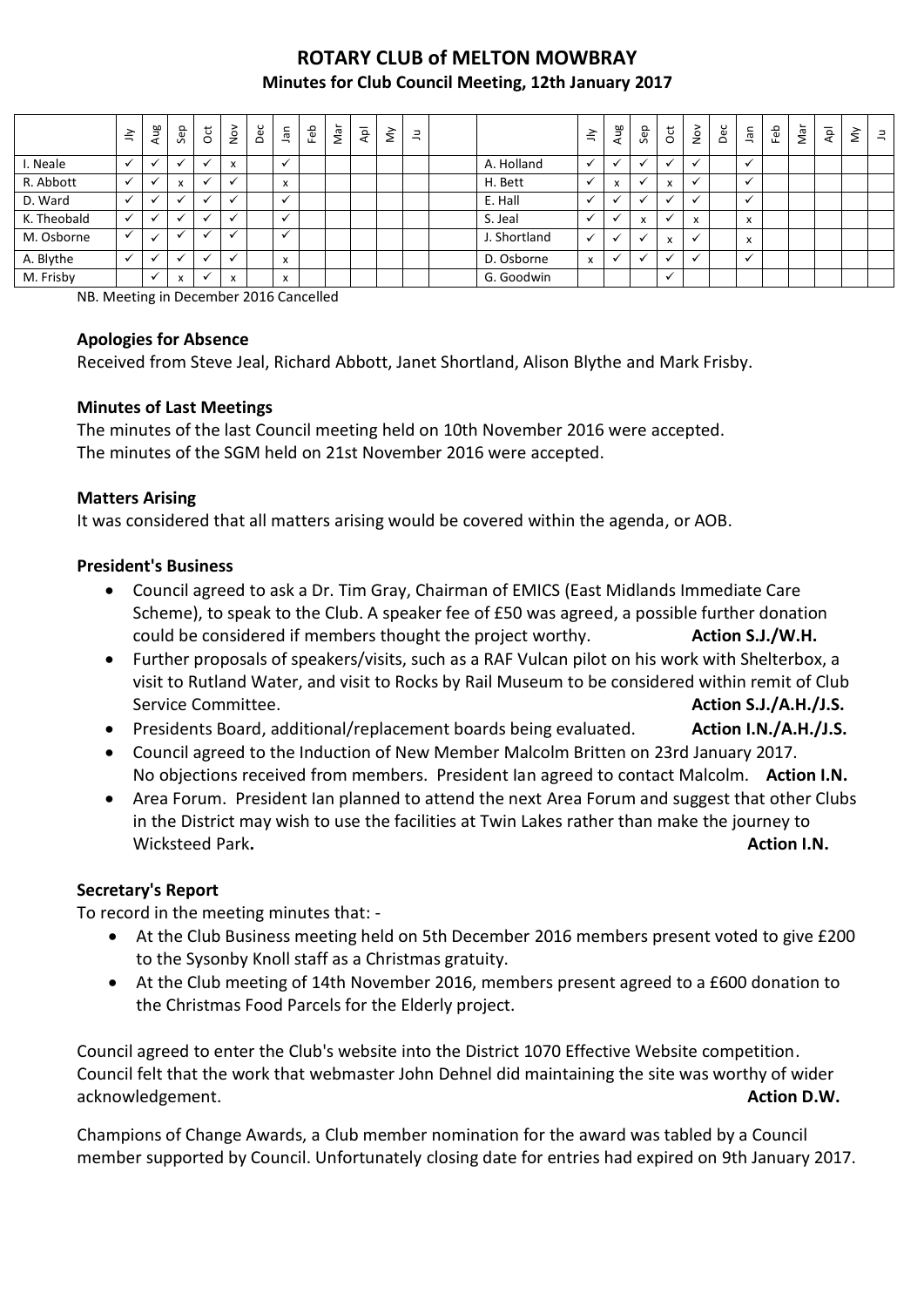# **ROTARY CLUB of MELTON MOWBRAY Minutes for Club Council Meeting, 12th January 2017**

|             | $\leq$       | Aug | Sep                                    | $\overline{c}$ | $\sum_{i=1}^{\infty}$                | Dec | Jan               | Feb | Nar | $\overline{A}$ | $\check{\varepsilon}$ | 크 |              | $\geq$       | Aug                      | Sep | <b>o</b> t | $\frac{5}{2}$ | Dec | <b>Jan</b>                | Feb | Nar | $\overline{\mathsf{A}}$ | ξ | $\equiv$ |
|-------------|--------------|-----|----------------------------------------|----------------|--------------------------------------|-----|-------------------|-----|-----|----------------|-----------------------|---|--------------|--------------|--------------------------|-----|------------|---------------|-----|---------------------------|-----|-----|-------------------------|---|----------|
| I. Neale    | $\checkmark$ |     |                                        | $\checkmark$   | $\overline{\mathbf{z}}$<br>$\lambda$ |     | √                 |     |     |                |                       |   | A. Holland   |              | $\overline{\phantom{a}}$ |     |            | $\checkmark$  |     | $\checkmark$              |     |     |                         |   |          |
| R. Abbott   |              |     | $\mathbf{v}$<br>$\boldsymbol{\lambda}$ | $\checkmark$   |                                      |     | $\checkmark$<br>л |     |     |                |                       |   | H. Bett      |              | x                        |     | x          |               |     | $\ddot{ }$                |     |     |                         |   |          |
| D. Ward     |              |     |                                        | $\checkmark$   |                                      |     | ◡                 |     |     |                |                       |   | E. Hall      |              |                          |     |            | ✔             |     | ✔                         |     |     |                         |   |          |
| K. Theobald |              |     |                                        | $\checkmark$   |                                      |     |                   |     |     |                |                       |   | S. Jeal      |              |                          | X   |            | X             |     | $\boldsymbol{\mathsf{x}}$ |     |     |                         |   |          |
| M. Osborne  |              |     |                                        |                |                                      |     |                   |     |     |                |                       |   | J. Shortland | $\checkmark$ | $\overline{\phantom{a}}$ |     | x          | $\checkmark$  |     | $\boldsymbol{\mathsf{x}}$ |     |     |                         |   |          |
| A. Blythe   |              |     |                                        | $\checkmark$   |                                      |     | x                 |     |     |                |                       |   | D. Osborne   | $\mathsf{x}$ | $\ddot{\phantom{0}}$     |     |            | $\cdot$       |     | $\checkmark$              |     |     |                         |   |          |
| M. Frisby   |              |     | $\mathsf{x}$                           | $\checkmark$   | $\checkmark$<br>$\lambda$            |     | $\checkmark$<br>л |     |     |                |                       |   | G. Goodwin   |              |                          |     |            |               |     |                           |     |     |                         |   |          |

NB. Meeting in December 2016 Cancelled

#### **Apologies for Absence**

Received from Steve Jeal, Richard Abbott, Janet Shortland, Alison Blythe and Mark Frisby.

### **Minutes of Last Meetings**

The minutes of the last Council meeting held on 10th November 2016 were accepted. The minutes of the SGM held on 21st November 2016 were accepted.

#### **Matters Arising**

It was considered that all matters arising would be covered within the agenda, or AOB.

#### **President's Business**

- Council agreed to ask a Dr. Tim Gray, Chairman of EMICS (East Midlands Immediate Care Scheme), to speak to the Club. A speaker fee of £50 was agreed, a possible further donation could be considered if members thought the project worthy. **Action S.J./W.H.**
- Further proposals of speakers/visits, such as a RAF Vulcan pilot on his work with Shelterbox, a visit to Rutland Water, and visit to Rocks by Rail Museum to be considered within remit of Club Service Committee. **Action S.J./A.H./J.S.**
- **•** Presidents Board, additional/replacement boards being evaluated. **Action I.N./A.H./J.S.**
- Council agreed to the Induction of New Member Malcolm Britten on 23rd January 2017. No objections received from members. President Ian agreed to contact Malcolm. **Action I.N.**
- Area Forum. President Ian planned to attend the next Area Forum and suggest that other Clubs in the District may wish to use the facilities at Twin Lakes rather than make the journey to Wicksteed Park. **Action I.N.** Action I.N.

### **Secretary's Report**

To record in the meeting minutes that: -

- At the Club Business meeting held on 5th December 2016 members present voted to give £200 to the Sysonby Knoll staff as a Christmas gratuity.
- At the Club meeting of 14th November 2016, members present agreed to a £600 donation to the Christmas Food Parcels for the Elderly project.

Council agreed to enter the Club's website into the District 1070 Effective Website competition. Council felt that the work that webmaster John Dehnel did maintaining the site was worthy of wider acknowledgement. **Action D.W. Action D.W. Action D.W. Action D.W. Action D.W.** 

Champions of Change Awards, a Club member nomination for the award was tabled by a Council member supported by Council. Unfortunately closing date for entries had expired on 9th January 2017.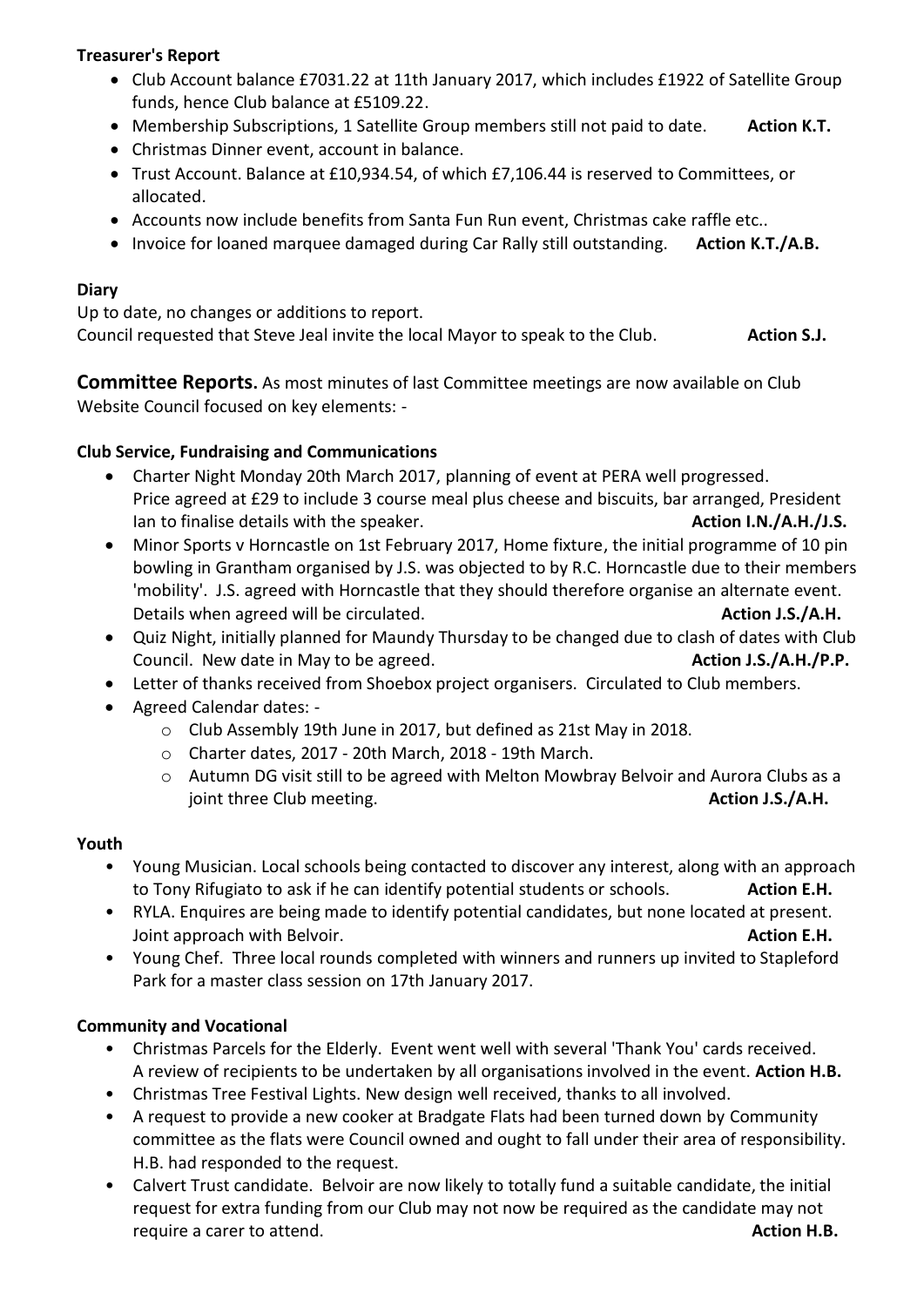### **Treasurer's Report**

- Club Account balance £7031.22 at 11th January 2017, which includes £1922 of Satellite Group funds, hence Club balance at £5109.22.
- Membership Subscriptions, 1 Satellite Group members still not paid to date. **Action K.T.**
- Christmas Dinner event, account in balance.
- Trust Account. Balance at £10,934.54, of which £7,106.44 is reserved to Committees, or allocated.
- Accounts now include benefits from Santa Fun Run event, Christmas cake raffle etc..
- **•** Invoice for loaned marquee damaged during Car Rally still outstanding. **Action K.T./A.B.**

### **Diary**

Up to date, no changes or additions to report. Council requested that Steve Jeal invite the local Mayor to speak to the Club. **Action S.J.**

**Committee Reports.** As most minutes of last Committee meetings are now available on Club Website Council focused on key elements: -

### **Club Service, Fundraising and Communications**

- Charter Night Monday 20th March 2017, planning of event at PERA well progressed. Price agreed at £29 to include 3 course meal plus cheese and biscuits, bar arranged, President Ian to finalise details with the speaker. **Action I.N./A.H./J.S. Action I.N./A.H./J.S.**
- Minor Sports v Horncastle on 1st February 2017, Home fixture, the initial programme of 10 pin bowling in Grantham organised by J.S. was objected to by R.C. Horncastle due to their members 'mobility'. J.S. agreed with Horncastle that they should therefore organise an alternate event. Details when agreed will be circulated. **Action J.S./A.H. Action J.S./A.H.**
- Quiz Night, initially planned for Maundy Thursday to be changed due to clash of dates with Club Council. New date in May to be agreed. **Action J.S./A.H./P.P. Action J.S./A.H./P.P.**
- Letter of thanks received from Shoebox project organisers. Circulated to Club members.
- Agreed Calendar dates:
	- o Club Assembly 19th June in 2017, but defined as 21st May in 2018.
	- o Charter dates, 2017 20th March, 2018 19th March.
	- o Autumn DG visit still to be agreed with Melton Mowbray Belvoir and Aurora Clubs as a joint three Club meeting. **Action J.S./A.H. Action J.S./A.H.**

#### **Youth**

- Young Musician. Local schools being contacted to discover any interest, along with an approach to Tony Rifugiato to ask if he can identify potential students or schools. **Action E.H.**
- RYLA. Enquires are being made to identify potential candidates, but none located at present. Joint approach with Belvoir. **Action E.H.** Action E.H.
- Young Chef. Three local rounds completed with winners and runners up invited to Stapleford Park for a master class session on 17th January 2017.

### **Community and Vocational**

- Christmas Parcels for the Elderly. Event went well with several 'Thank You' cards received. A review of recipients to be undertaken by all organisations involved in the event. **Action H.B.**
- Christmas Tree Festival Lights. New design well received, thanks to all involved.
- A request to provide a new cooker at Bradgate Flats had been turned down by Community committee as the flats were Council owned and ought to fall under their area of responsibility. H.B. had responded to the request.
- Calvert Trust candidate. Belvoir are now likely to totally fund a suitable candidate, the initial request for extra funding from our Club may not now be required as the candidate may not require a carer to attend. **Action H.B.**